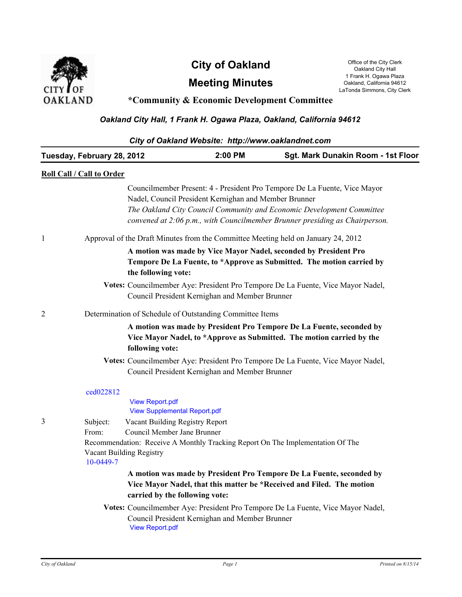

## **City of Oakland** Office of the City Clerk Oakland City Lerk

**Meeting Minutes**

Oakland City Hall 1 Frank H. Ogawa Plaza Oakland, California 94612 LaTonda Simmons, City Clerk

## **\*Community & Economic Development Committee**

## *Oakland City Hall, 1 Frank H. Ogawa Plaza, Oakland, California 94612*

| City of Oakland Website: http://www.oaklandnet.com |                                                            |                                                                |                                                          |                                                                                                                                                                                                                                   |  |  |
|----------------------------------------------------|------------------------------------------------------------|----------------------------------------------------------------|----------------------------------------------------------|-----------------------------------------------------------------------------------------------------------------------------------------------------------------------------------------------------------------------------------|--|--|
|                                                    | Tuesday, February 28, 2012                                 |                                                                | 2:00 PM                                                  | Sgt. Mark Dunakin Room - 1st Floor                                                                                                                                                                                                |  |  |
|                                                    | <b>Roll Call / Call to Order</b>                           |                                                                |                                                          |                                                                                                                                                                                                                                   |  |  |
|                                                    |                                                            |                                                                | Nadel, Council President Kernighan and Member Brunner    | Councilmember Present: 4 - President Pro Tempore De La Fuente, Vice Mayor<br>The Oakland City Council Community and Economic Development Committee<br>convened at 2:06 p.m., with Councilmember Brunner presiding as Chairperson. |  |  |
| $\mathbf{1}$                                       |                                                            |                                                                |                                                          | Approval of the Draft Minutes from the Committee Meeting held on January 24, 2012                                                                                                                                                 |  |  |
|                                                    |                                                            | the following vote:                                            |                                                          | A motion was made by Vice Mayor Nadel, seconded by President Pro<br>Tempore De La Fuente, to *Approve as Submitted. The motion carried by                                                                                         |  |  |
|                                                    |                                                            |                                                                | Council President Kernighan and Member Brunner           | Votes: Councilmember Aye: President Pro Tempore De La Fuente, Vice Mayor Nadel,                                                                                                                                                   |  |  |
| 2                                                  |                                                            |                                                                | Determination of Schedule of Outstanding Committee Items |                                                                                                                                                                                                                                   |  |  |
|                                                    |                                                            | following vote:                                                |                                                          | A motion was made by President Pro Tempore De La Fuente, seconded by<br>Vice Mayor Nadel, to *Approve as Submitted. The motion carried by the                                                                                     |  |  |
|                                                    |                                                            |                                                                | Council President Kernighan and Member Brunner           | Votes: Councilmember Aye: President Pro Tempore De La Fuente, Vice Mayor Nadel,                                                                                                                                                   |  |  |
|                                                    | ced022812                                                  | <b>View Report.pdf</b><br><b>View Supplemental Report.pdf</b>  |                                                          |                                                                                                                                                                                                                                   |  |  |
| 3                                                  | Subject:<br>From:<br>Vacant Building Registry<br>10-0449-7 | Vacant Building Registry Report<br>Council Member Jane Brunner |                                                          | Recommendation: Receive A Monthly Tracking Report On The Implementation Of The                                                                                                                                                    |  |  |
|                                                    |                                                            | carried by the following vote:                                 |                                                          | A motion was made by President Pro Tempore De La Fuente, seconded by<br>Vice Mayor Nadel, that this matter be *Received and Filed. The motion<br>Votes: Councilmember Aye: President Pro Tempore De La Fuente, Vice Mayor Nadel,  |  |  |
|                                                    |                                                            | <b>View Report.pdf</b>                                         | Council President Kernighan and Member Brunner           |                                                                                                                                                                                                                                   |  |  |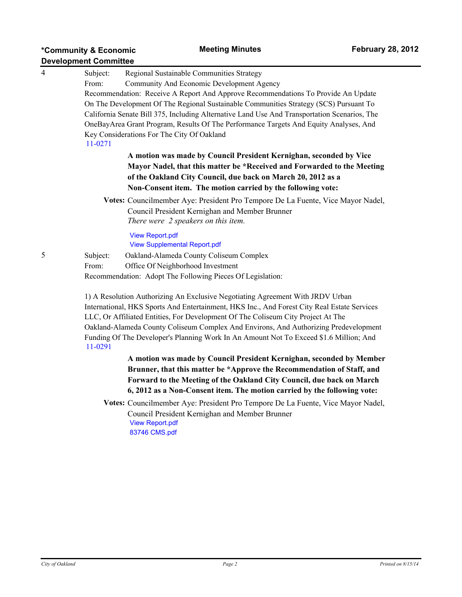| $\overline{4}$ | Subject:                                           | Regional Sustainable Communities Strategy                                                                                                                                                                                                                                                                                      |  |  |  |  |  |
|----------------|----------------------------------------------------|--------------------------------------------------------------------------------------------------------------------------------------------------------------------------------------------------------------------------------------------------------------------------------------------------------------------------------|--|--|--|--|--|
|                | Community And Economic Development Agency<br>From: |                                                                                                                                                                                                                                                                                                                                |  |  |  |  |  |
|                |                                                    | Recommendation: Receive A Report And Approve Recommendations To Provide An Update                                                                                                                                                                                                                                              |  |  |  |  |  |
|                |                                                    | On The Development Of The Regional Sustainable Communities Strategy (SCS) Pursuant To                                                                                                                                                                                                                                          |  |  |  |  |  |
|                |                                                    | California Senate Bill 375, Including Alternative Land Use And Transportation Scenarios, The                                                                                                                                                                                                                                   |  |  |  |  |  |
|                |                                                    | OneBayArea Grant Program, Results Of The Performance Targets And Equity Analyses, And                                                                                                                                                                                                                                          |  |  |  |  |  |
|                |                                                    | Key Considerations For The City Of Oakland                                                                                                                                                                                                                                                                                     |  |  |  |  |  |
|                | 11-0271                                            |                                                                                                                                                                                                                                                                                                                                |  |  |  |  |  |
|                |                                                    | A motion was made by Council President Kernighan, seconded by Vice                                                                                                                                                                                                                                                             |  |  |  |  |  |
|                |                                                    | Mayor Nadel, that this matter be *Received and Forwarded to the Meeting                                                                                                                                                                                                                                                        |  |  |  |  |  |
|                |                                                    | of the Oakland City Council, due back on March 20, 2012 as a<br>Non-Consent item. The motion carried by the following vote:                                                                                                                                                                                                    |  |  |  |  |  |
|                |                                                    |                                                                                                                                                                                                                                                                                                                                |  |  |  |  |  |
|                |                                                    | Votes: Councilmember Aye: President Pro Tempore De La Fuente, Vice Mayor Nadel,                                                                                                                                                                                                                                                |  |  |  |  |  |
|                |                                                    | Council President Kernighan and Member Brunner                                                                                                                                                                                                                                                                                 |  |  |  |  |  |
|                | There were 2 speakers on this item.                |                                                                                                                                                                                                                                                                                                                                |  |  |  |  |  |
|                |                                                    |                                                                                                                                                                                                                                                                                                                                |  |  |  |  |  |
|                |                                                    | <b>View Report.pdf</b><br><b>View Supplemental Report.pdf</b>                                                                                                                                                                                                                                                                  |  |  |  |  |  |
| 5              |                                                    |                                                                                                                                                                                                                                                                                                                                |  |  |  |  |  |
|                | Subject:                                           | Oakland-Alameda County Coliseum Complex                                                                                                                                                                                                                                                                                        |  |  |  |  |  |
|                | From:                                              | Office Of Neighborhood Investment                                                                                                                                                                                                                                                                                              |  |  |  |  |  |
|                |                                                    | Recommendation: Adopt The Following Pieces Of Legislation:                                                                                                                                                                                                                                                                     |  |  |  |  |  |
|                |                                                    | 1) A Resolution Authorizing An Exclusive Negotiating Agreement With JRDV Urban                                                                                                                                                                                                                                                 |  |  |  |  |  |
|                |                                                    | International, HKS Sports And Entertainment, HKS Inc., And Forest City Real Estate Services                                                                                                                                                                                                                                    |  |  |  |  |  |
|                |                                                    | LLC, Or Affiliated Entities, For Development Of The Coliseum City Project At The                                                                                                                                                                                                                                               |  |  |  |  |  |
|                |                                                    | $\bigcap_{i=1}^{n}$ $\bigcup_{i=1}^{n}$ $\bigcap_{i=1}^{n}$ $\bigcap_{i=1}^{n}$ $\bigcap_{i=1}^{n}$ $\bigcap_{i=1}^{n}$ $\bigcap_{i=1}^{n}$ $\bigcap_{i=1}^{n}$ $\bigcap_{i=1}^{n}$ $\bigcap_{i=1}^{n}$ $\bigcap_{i=1}^{n}$ $\bigcap_{i=1}^{n}$ $\bigcap_{i=1}^{n}$ $\bigcap_{i=1}^{n}$ $\bigcap_{i=1}^{n}$ $\bigcap_{i=1}^{n$ |  |  |  |  |  |

Oakland-Alameda County Coliseum Complex And Environs, And Authorizing Predevelopment Funding Of The Developer's Planning Work In An Amount Not To Exceed \$1.6 Million; And [11-0291](http://oakland.legistar.com/gateway.aspx/matter.aspx?key=20969)

> **A motion was made by Council President Kernighan, seconded by Member Brunner, that this matter be \*Approve the Recommendation of Staff, and Forward to the Meeting of the Oakland City Council, due back on March 6, 2012 as a Non-Consent item. The motion carried by the following vote:**

**Votes:** Councilmember Aye: President Pro Tempore De La Fuente, Vice Mayor Nadel, Council President Kernighan and Member Brunner [View Report.pdf](http://oakland.legistar.com/gateway.aspx?M%3dF&ID53d29013.pdf) [83746 CMS.pdf](http://oakland.legistar.com/gateway.aspx?M%3dF&ID53d29185.pdf)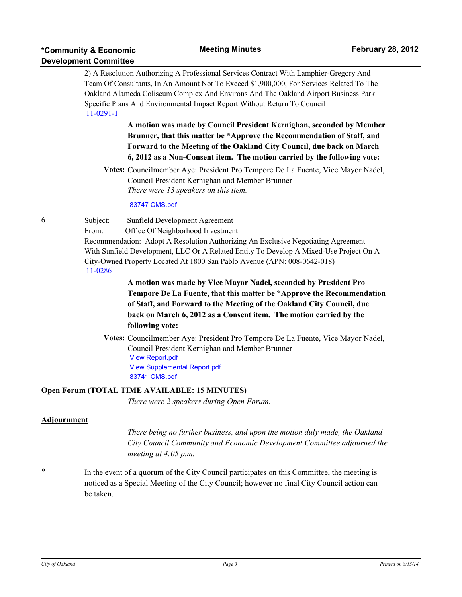|             | יטייי סטוויייינט             |                                                                                                                                                                                                                                                                                                                                |  |  |  |  |
|-------------|------------------------------|--------------------------------------------------------------------------------------------------------------------------------------------------------------------------------------------------------------------------------------------------------------------------------------------------------------------------------|--|--|--|--|
|             |                              | 2) A Resolution Authorizing A Professional Services Contract With Lamphier-Gregory And                                                                                                                                                                                                                                         |  |  |  |  |
|             |                              | Team Of Consultants, In An Amount Not To Exceed \$1,900,000, For Services Related To The<br>Oakland Alameda Coliseum Complex And Environs And The Oakland Airport Business Park                                                                                                                                                |  |  |  |  |
|             |                              |                                                                                                                                                                                                                                                                                                                                |  |  |  |  |
|             | $11-0291-1$                  | Specific Plans And Environmental Impact Report Without Return To Council                                                                                                                                                                                                                                                       |  |  |  |  |
|             |                              | A motion was made by Council President Kernighan, seconded by Member<br>Brunner, that this matter be *Approve the Recommendation of Staff, and<br>Forward to the Meeting of the Oakland City Council, due back on March<br>6, 2012 as a Non-Consent item. The motion carried by the following vote:                            |  |  |  |  |
|             |                              | Votes: Councilmember Aye: President Pro Tempore De La Fuente, Vice Mayor Nadel,<br>Council President Kernighan and Member Brunner<br>There were 13 speakers on this item.                                                                                                                                                      |  |  |  |  |
|             |                              | 83747 CMS.pdf                                                                                                                                                                                                                                                                                                                  |  |  |  |  |
| 6           | Subject:<br>From:<br>11-0286 | Sunfield Development Agreement<br>Office Of Neighborhood Investment<br>Recommendation: Adopt A Resolution Authorizing An Exclusive Negotiating Agreement<br>With Sunfield Development, LLC Or A Related Entity To Develop A Mixed-Use Project On A<br>City-Owned Property Located At 1800 San Pablo Avenue (APN: 008-0642-018) |  |  |  |  |
|             |                              | A motion was made by Vice Mayor Nadel, seconded by President Pro<br>Tempore De La Fuente, that this matter be *Approve the Recommendation<br>of Staff, and Forward to the Meeting of the Oakland City Council, due<br>back on March 6, 2012 as a Consent item. The motion carried by the<br>following vote:                    |  |  |  |  |
|             |                              | Votes: Councilmember Aye: President Pro Tempore De La Fuente, Vice Mayor Nadel,<br>Council President Kernighan and Member Brunner<br><b>View Report.pdf</b><br><b>View Supplemental Report.pdf</b><br>83741 CMS.pdf                                                                                                            |  |  |  |  |
|             |                              | Open Forum (TOTAL TIME AVAILABLE: 15 MINUTES)                                                                                                                                                                                                                                                                                  |  |  |  |  |
|             |                              | There were 2 speakers during Open Forum.                                                                                                                                                                                                                                                                                       |  |  |  |  |
| Adjournment |                              |                                                                                                                                                                                                                                                                                                                                |  |  |  |  |
|             |                              | There being no further business, and upon the motion duly made, the Oakland<br>City Council Community and Economic Development Committee adjourned the<br>meeting at $4:05$ p.m.                                                                                                                                               |  |  |  |  |
|             |                              |                                                                                                                                                                                                                                                                                                                                |  |  |  |  |

\* In the event of a quorum of the City Council participates on this Committee, the meeting is noticed as a Special Meeting of the City Council; however no final City Council action can be taken.